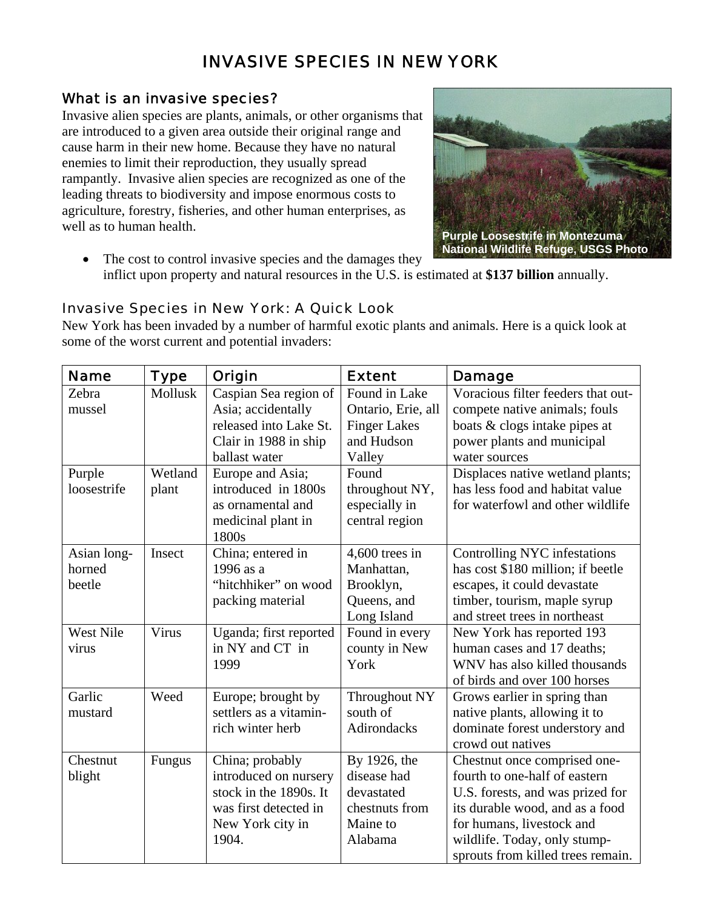# INVASIVE SPECIES IN NEW YORK

## What is an invasive species?

Invasive alien species are plants, animals, or other organisms that are introduced to a given area outside their original range and cause harm in their new home. Because they have no natural enemies to limit their reproduction, they usually spread rampantly. Invasive alien species are recognized as one of the leading threats to biodiversity and impose enormous costs to agriculture, forestry, fisheries, and other human enterprises, as well as to human health.



• The cost to control invasive species and the damages they inflict upon property and natural resources in the U.S. is estimated at **\$137 billion** annually.

## Invasive Species in New York: A Quick Look

New York has been invaded by a number of harmful exotic plants and animals. Here is a quick look at some of the worst current and potential invaders:

| <b>Name</b>      | <b>Type</b> | Origin                 | <b>Extent</b>       | <b>Damage</b>                      |
|------------------|-------------|------------------------|---------------------|------------------------------------|
| Zebra            | Mollusk     | Caspian Sea region of  | Found in Lake       | Voracious filter feeders that out- |
| mussel           |             | Asia; accidentally     | Ontario, Erie, all  | compete native animals; fouls      |
|                  |             | released into Lake St. | <b>Finger Lakes</b> | boats & clogs intake pipes at      |
|                  |             | Clair in 1988 in ship  | and Hudson          | power plants and municipal         |
|                  |             | ballast water          | Valley              | water sources                      |
| Purple           | Wetland     | Europe and Asia;       | Found               | Displaces native wetland plants;   |
| loosestrife      | plant       | introduced in 1800s    | throughout NY,      | has less food and habitat value    |
|                  |             | as ornamental and      | especially in       | for waterfowl and other wildlife   |
|                  |             | medicinal plant in     | central region      |                                    |
|                  |             | 1800s                  |                     |                                    |
| Asian long-      | Insect      | China; entered in      | $4,600$ trees in    | Controlling NYC infestations       |
| horned           |             | 1996 as a              | Manhattan,          | has cost \$180 million; if beetle  |
| beetle           |             | "hitchhiker" on wood   | Brooklyn,           | escapes, it could devastate        |
|                  |             | packing material       | Queens, and         | timber, tourism, maple syrup       |
|                  |             |                        | Long Island         | and street trees in northeast      |
| <b>West Nile</b> | Virus       | Uganda; first reported | Found in every      | New York has reported 193          |
| virus            |             | in NY and CT in        | county in New       | human cases and 17 deaths;         |
|                  |             | 1999                   | York                | WNV has also killed thousands      |
|                  |             |                        |                     | of birds and over 100 horses       |
| Garlic           | Weed        | Europe; brought by     | Throughout NY       | Grows earlier in spring than       |
| mustard          |             | settlers as a vitamin- | south of            | native plants, allowing it to      |
|                  |             | rich winter herb       | Adirondacks         | dominate forest understory and     |
|                  |             |                        |                     | crowd out natives                  |
| Chestnut         | Fungus      | China; probably        | By 1926, the        | Chestnut once comprised one-       |
| blight           |             | introduced on nursery  | disease had         | fourth to one-half of eastern      |
|                  |             | stock in the 1890s. It | devastated          | U.S. forests, and was prized for   |
|                  |             | was first detected in  | chestnuts from      | its durable wood, and as a food    |
|                  |             | New York city in       | Maine to            | for humans, livestock and          |
|                  |             | 1904.                  | Alabama             | wildlife. Today, only stump-       |
|                  |             |                        |                     | sprouts from killed trees remain.  |